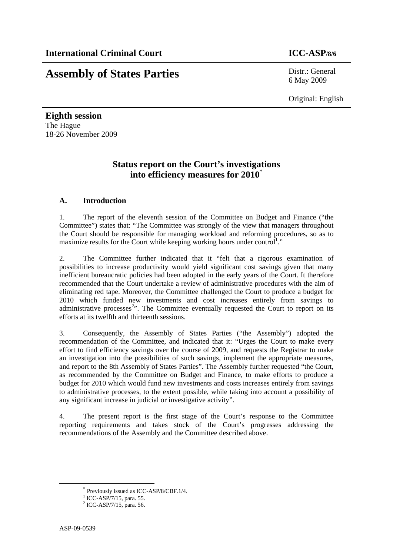# **Assembly of States Parties** Distr.: General

6 May 2009

Original: English

**Eighth session**  The Hague 18-26 November 2009

# **Status report on the Court's investigations into efficiency measures for 2010**\*

# **A. Introduction**

1. The report of the eleventh session of the Committee on Budget and Finance ("the Committee") states that: "The Committee was strongly of the view that managers throughout the Court should be responsible for managing workload and reforming procedures, so as to maximize results for the Court while keeping working hours under control<sup>1</sup>."

2. The Committee further indicated that it "felt that a rigorous examination of possibilities to increase productivity would yield significant cost savings given that many inefficient bureaucratic policies had been adopted in the early years of the Court. It therefore recommended that the Court undertake a review of administrative procedures with the aim of eliminating red tape. Moreover, the Committee challenged the Court to produce a budget for 2010 which funded new investments and cost increases entirely from savings to administrative processes $2$ <sup>2</sup>. The Committee eventually requested the Court to report on its efforts at its twelfth and thirteenth sessions.

3. Consequently, the Assembly of States Parties ("the Assembly") adopted the recommendation of the Committee, and indicated that it: "Urges the Court to make every effort to find efficiency savings over the course of 2009, and requests the Registrar to make an investigation into the possibilities of such savings, implement the appropriate measures, and report to the 8th Assembly of States Parties". The Assembly further requested "the Court, as recommended by the Committee on Budget and Finance, to make efforts to produce a budget for 2010 which would fund new investments and costs increases entirely from savings to administrative processes, to the extent possible, while taking into account a possibility of any significant increase in judicial or investigative activity".

4. The present report is the first stage of the Court's response to the Committee reporting requirements and takes stock of the Court's progresses addressing the recommendations of the Assembly and the Committee described above.

 <sup>\*</sup> Previously issued as ICC-ASP/8/CBF.1/4.

<sup>&</sup>lt;sup>1</sup> ICC-ASP/7/15, para. 55.

 $^{2}$  ICC-ASP/7/15, para. 56.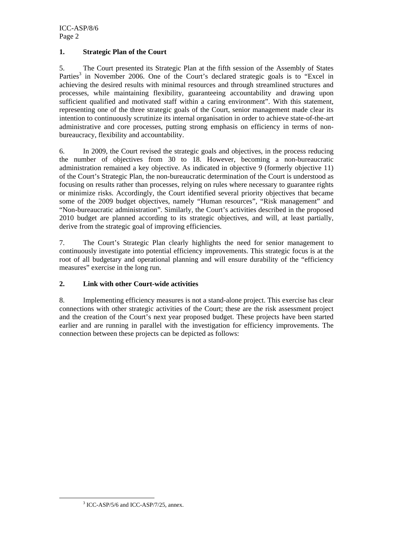ICC-ASP/8/6 Page 2

### **1. Strategic Plan of the Court**

5. The Court presented its Strategic Plan at the fifth session of the Assembly of States Parties<sup>3</sup> in November 2006. One of the Court's declared strategic goals is to "Excel in achieving the desired results with minimal resources and through streamlined structures and processes, while maintaining flexibility, guaranteeing accountability and drawing upon sufficient qualified and motivated staff within a caring environment". With this statement, representing one of the three strategic goals of the Court, senior management made clear its intention to continuously scrutinize its internal organisation in order to achieve state-of-the-art administrative and core processes, putting strong emphasis on efficiency in terms of nonbureaucracy, flexibility and accountability.

6. In 2009, the Court revised the strategic goals and objectives, in the process reducing the number of objectives from 30 to 18. However, becoming a non-bureaucratic administration remained a key objective. As indicated in objective 9 (formerly objective 11) of the Court's Strategic Plan, the non-bureaucratic determination of the Court is understood as focusing on results rather than processes, relying on rules where necessary to guarantee rights or minimize risks. Accordingly, the Court identified several priority objectives that became some of the 2009 budget objectives, namely "Human resources", "Risk management" and "Non-bureaucratic administration". Similarly, the Court's activities described in the proposed 2010 budget are planned according to its strategic objectives, and will, at least partially, derive from the strategic goal of improving efficiencies.

7. The Court's Strategic Plan clearly highlights the need for senior management to continuously investigate into potential efficiency improvements. This strategic focus is at the root of all budgetary and operational planning and will ensure durability of the "efficiency measures" exercise in the long run.

# **2. Link with other Court-wide activities**

8. Implementing efficiency measures is not a stand-alone project. This exercise has clear connections with other strategic activities of the Court; these are the risk assessment project and the creation of the Court's next year proposed budget. These projects have been started earlier and are running in parallel with the investigation for efficiency improvements. The connection between these projects can be depicted as follows:

 <sup>3</sup>  $3$  ICC-ASP/5/6 and ICC-ASP/7/25, annex.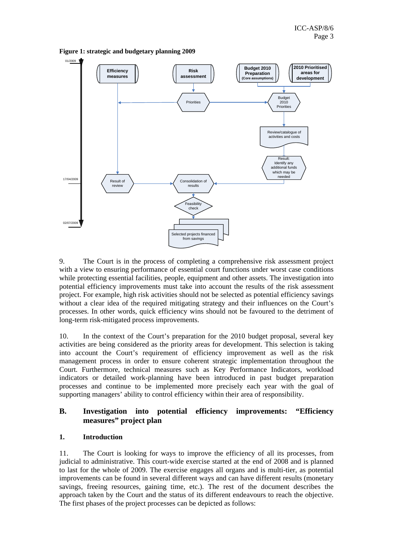

**Figure 1: strategic and budgetary planning 2009** 

9. The Court is in the process of completing a comprehensive risk assessment project with a view to ensuring performance of essential court functions under worst case conditions while protecting essential facilities, people, equipment and other assets. The investigation into potential efficiency improvements must take into account the results of the risk assessment project. For example, high risk activities should not be selected as potential efficiency savings without a clear idea of the required mitigating strategy and their influences on the Court's processes. In other words, quick efficiency wins should not be favoured to the detriment of long-term risk-mitigated process improvements.

10. In the context of the Court's preparation for the 2010 budget proposal, several key activities are being considered as the priority areas for development. This selection is taking into account the Court's requirement of efficiency improvement as well as the risk management process in order to ensure coherent strategic implementation throughout the Court. Furthermore, technical measures such as Key Performance Indicators, workload indicators or detailed work-planning have been introduced in past budget preparation processes and continue to be implemented more precisely each year with the goal of supporting managers' ability to control efficiency within their area of responsibility.

# **B. Investigation into potential efficiency improvements: "Efficiency measures" project plan**

#### **1. Introduction**

11. The Court is looking for ways to improve the efficiency of all its processes, from judicial to administrative. This court-wide exercise started at the end of 2008 and is planned to last for the whole of 2009. The exercise engages all organs and is multi-tier, as potential improvements can be found in several different ways and can have different results (monetary savings, freeing resources, gaining time, etc.). The rest of the document describes the approach taken by the Court and the status of its different endeavours to reach the objective. The first phases of the project processes can be depicted as follows: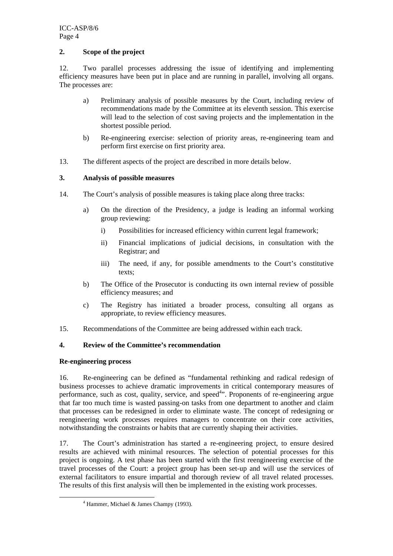#### **2. Scope of the project**

12. Two parallel processes addressing the issue of identifying and implementing efficiency measures have been put in place and are running in parallel, involving all organs. The processes are:

- a) Preliminary analysis of possible measures by the Court, including review of recommendations made by the Committee at its eleventh session. This exercise will lead to the selection of cost saving projects and the implementation in the shortest possible period.
- b) Re-engineering exercise: selection of priority areas, re-engineering team and perform first exercise on first priority area.
- 13. The different aspects of the project are described in more details below.

#### **3. Analysis of possible measures**

- 14. The Court's analysis of possible measures is taking place along three tracks:
	- a) On the direction of the Presidency, a judge is leading an informal working group reviewing:
		- i) Possibilities for increased efficiency within current legal framework;
		- ii) Financial implications of judicial decisions, in consultation with the Registrar; and
		- iii) The need, if any, for possible amendments to the Court's constitutive texts;
	- b) The Office of the Prosecutor is conducting its own internal review of possible efficiency measures; and
	- c) The Registry has initiated a broader process, consulting all organs as appropriate, to review efficiency measures.
- 15. Recommendations of the Committee are being addressed within each track.

# **4. Review of the Committee's recommendation**

#### **Re-engineering process**

16. Re-engineering can be defined as "fundamental rethinking and radical redesign of business processes to achieve dramatic improvements in critical contemporary measures of performance, such as cost, quality, service, and speed<sup>4</sup>". Proponents of re-engineering argue that far too much time is wasted passing-on tasks from one department to another and claim that processes can be redesigned in order to eliminate waste. The concept of redesigning or reengineering work processes requires managers to concentrate on their core activities, notwithstanding the constraints or habits that are currently shaping their activities.

17. The Court's administration has started a re-engineering project, to ensure desired results are achieved with minimal resources. The selection of potential processes for this project is ongoing. A test phase has been started with the first reengineering exercise of the travel processes of the Court: a project group has been set-up and will use the services of external facilitators to ensure impartial and thorough review of all travel related processes. The results of this first analysis will then be implemented in the existing work processes.

 $\frac{1}{4}$  $4$  Hammer, Michael & James Champy (1993).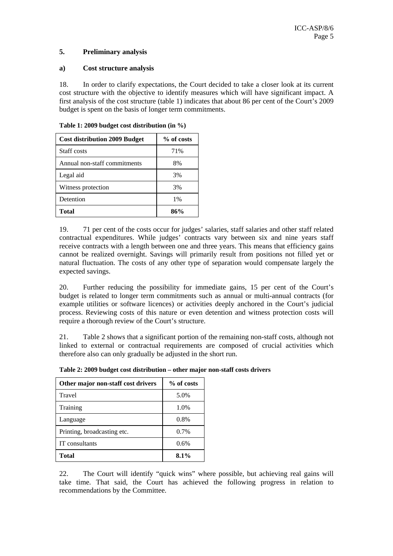#### **5. Preliminary analysis**

#### **a) Cost structure analysis**

18. In order to clarify expectations, the Court decided to take a closer look at its current cost structure with the objective to identify measures which will have significant impact. A first analysis of the cost structure (table 1) indicates that about 86 per cent of the Court's 2009 budget is spent on the basis of longer term commitments.

| <b>Cost distribution 2009 Budget</b> | % of costs |
|--------------------------------------|------------|
| Staff costs                          | 71%        |
| Annual non-staff commitments         | 8%         |
| Legal aid                            | 3%         |
| Witness protection                   | 3%         |
| Detention                            | $1\%$      |
| Total                                | 86%        |

**Table 1: 2009 budget cost distribution (in %)** 

19. 71 per cent of the costs occur for judges' salaries, staff salaries and other staff related contractual expenditures. While judges' contracts vary between six and nine years staff receive contracts with a length between one and three years. This means that efficiency gains cannot be realized overnight. Savings will primarily result from positions not filled yet or natural fluctuation. The costs of any other type of separation would compensate largely the expected savings.

20. Further reducing the possibility for immediate gains, 15 per cent of the Court's budget is related to longer term commitments such as annual or multi-annual contracts (for example utilities or software licences) or activities deeply anchored in the Court's judicial process. Reviewing costs of this nature or even detention and witness protection costs will require a thorough review of the Court's structure.

21. Table 2 shows that a significant portion of the remaining non-staff costs, although not linked to external or contractual requirements are composed of crucial activities which therefore also can only gradually be adjusted in the short run.

| Other major non-staff cost drivers | % of costs |
|------------------------------------|------------|
| Travel                             | 5.0%       |
| Training                           | 1.0%       |
| Language                           | $0.8\%$    |
| Printing, broadcasting etc.        | $0.7\%$    |
| IT consultants                     | 0.6%       |
| Total                              | $8.1\%$    |

**Table 2: 2009 budget cost distribution – other major non-staff costs drivers** 

22. The Court will identify "quick wins" where possible, but achieving real gains will take time. That said, the Court has achieved the following progress in relation to recommendations by the Committee.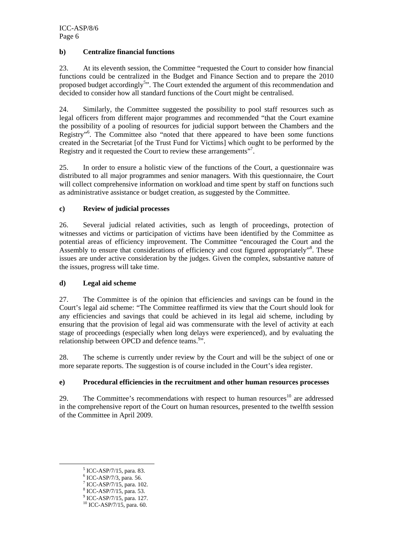#### **b) Centralize financial functions**

23. At its eleventh session, the Committee "requested the Court to consider how financial functions could be centralized in the Budget and Finance Section and to prepare the 2010 proposed budget accordingly<sup>5</sup>". The Court extended the argument of this recommendation and decided to consider how all standard functions of the Court might be centralised.

24. Similarly, the Committee suggested the possibility to pool staff resources such as legal officers from different major programmes and recommended "that the Court examine the possibility of a pooling of resources for judicial support between the Chambers and the Registry"6 . The Committee also "noted that there appeared to have been some functions created in the Secretariat [of the Trust Fund for Victims] which ought to be performed by the Registry and it requested the Court to review these arrangements".

25. In order to ensure a holistic view of the functions of the Court, a questionnaire was distributed to all major programmes and senior managers. With this questionnaire, the Court will collect comprehensive information on workload and time spent by staff on functions such as administrative assistance or budget creation, as suggested by the Committee.

#### **c) Review of judicial processes**

26. Several judicial related activities, such as length of proceedings, protection of witnesses and victims or participation of victims have been identified by the Committee as potential areas of efficiency improvement. The Committee "encouraged the Court and the Assembly to ensure that considerations of efficiency and cost figured appropriately"<sup>8</sup>. These issues are under active consideration by the judges. Given the complex, substantive nature of the issues, progress will take time.

# **d) Legal aid scheme**

27. The Committee is of the opinion that efficiencies and savings can be found in the Court's legal aid scheme: "The Committee reaffirmed its view that the Court should look for any efficiencies and savings that could be achieved in its legal aid scheme, including by ensuring that the provision of legal aid was commensurate with the level of activity at each stage of proceedings (especially when long delays were experienced), and by evaluating the relationship between OPCD and defence teams.<sup>9</sup>".

28. The scheme is currently under review by the Court and will be the subject of one or more separate reports. The suggestion is of course included in the Court's idea register.

#### **e) Procedural efficiencies in the recruitment and other human resources processes**

29. The Committee's recommendations with respect to human resources<sup>10</sup> are addressed in the comprehensive report of the Court on human resources, presented to the twelfth session of the Committee in April 2009.

 $\frac{1}{5}$  $<sup>5</sup>$  ICC-ASP/7/15, para. 83.</sup>

<sup>6</sup> ICC-ASP/7/3, para. 56.

<sup>7</sup> ICC-ASP/7/15, para. 102.

<sup>8</sup> ICC-ASP/7/15, para. 53.

<sup>9</sup> ICC-ASP/7/15, para. 127.

 $10$  ICC-ASP/7/15, para. 60.